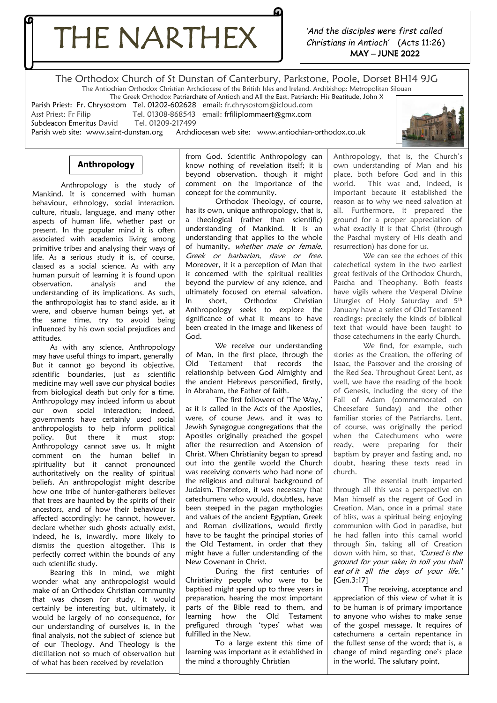THE NARTHEX

*'And the disciples were first called Christians in Antioch'* (Acts 11:26) MAY – JUNE 2022

The Orthodox Church of St Dunstan of Canterbury, Parkstone, Poole, Dorset BH14 9JG The Antiochian Orthodox Christian Archdiocese of the British Isles and Ireland. Archbishop: Metropolitan Silouan

The Greek Orthodox Patriarchate of Antioch and All the East. Patriarch: His Beatitude, John X

Parish Priest: Fr. Chrysostom Tel. 01202-602628 email: fr.chrysostom@icloud.com

Asst Priest: Fr Filip Filip Tel. 01308-868543 email: frfili[plommaert@gmx.com](mailto:lommaert@gmx.com)<br>Subdeacon Emeritus David Tel. 01209-217499 Subdeacon Emeritus David

Parish web site: [www.saint-dunstan.org](http://www.saint-dunstan.org/) Archdiocesan web site: [www.antiochian-orthodox.co.uk](http://www.antiochian-orthodox.co.uk/)



## **Anthropology**

 Anthropology is the study of Mankind. It is concerned with human behaviour, ethnology, social interaction, culture, rituals, language, and many other aspects of human life, whether past or present. In the popular mind it is often associated with academics living among primitive tribes and analysing their ways of life. As a serious study it is, of course, classed as a social science. As with any human pursuit of learning it is found upon observation, analysis and the understanding of its implications. As such, the anthropologist has to stand aside, as it were, and observe human beings yet, at the same time, try to avoid being influenced by his own social prejudices and attitudes.

authoritatively on the reality of spiritual As with any science, Anthropology may have useful things to impart, generally But it cannot go beyond its objective, scientific boundaries, just as scientific medicine may well save our physical bodies from biological death but only for a time. Anthropology may indeed inform us about our own social interaction; indeed, governments have certainly used social anthropologists to help inform political policy. But there it must stop: Anthropology cannot save us. It might comment on the human belief in spirituality but it cannot pronounced beliefs. An anthropologist might describe how one tribe of hunter-gatherers believes that trees are haunted by the spirits of their ancestors, and of how their behaviour is affected accordingly: he cannot, however, declare whether such ghosts actually exist, indeed, he is, inwardly, more likely to dismiss the question altogether. This is perfectly correct within the bounds of any such scientific study.

Bearing this in mind, we might wonder what any anthropologist would make of an Orthodox Christian community that was chosen for study. It would certainly be interesting but, ultimately, it would be largely of no consequence, for our understanding of ourselves is, in the final analysis, not the subject of science but of our Theology. And Theology is the distillation not so much of observation but of what has been received by revelation

from God. Scientific Anthropology can know nothing of revelation itself; it is beyond observation, though it might comment on the importance of the concept for the community.

Orthodox Theology, of course, has its own, unique anthropology, that is, a theological (rather than scientific) understanding of Mankind. It is an understanding that applies to the whole of humanity, whether male or female, Greek or barbarian, slave or free. Moreover, it is a perception of Man that is concerned with the spiritual realities beyond the purview of any science, and ultimately focused on eternal salvation. In short, Orthodox Christian Anthropology seeks to explore the significance of what it means to have been created in the image and likeness of God.

We receive our understanding of Man, in the first place, through the Old Testament that records the relationship between God Almighty and the ancient Hebrews personified, firstly, in Abraham, the Father of faith.

The first followers of 'The Way,' as it is called in the Acts of the Apostles, were, of course Jews, and it was to Jewish Synagogue congregations that the Apostles originally preached the gospel after the resurrection and Ascension of Christ. When Christianity began to spread out into the gentile world the Church was receiving converts who had none of the religious and cultural background of Judaism. Therefore, it was necessary that catechumens who would, doubtless, have been steeped in the pagan mythologies and values of the ancient Egyptian, Greek and Roman civilizations, would firstly have to be taught the principal stories of the Old Testament, in order that they might have a fuller understanding of the New Covenant in Christ.

During the first centuries of Christianity people who were to be baptised might spend up to three years in preparation, hearing the most important parts of the Bible read to them, and learning how the Old Testament prefigured through 'types' what was fulfilled in the New.

To a large extent this time of learning was important as it established in the mind a thoroughly Christian

Anthropology, that is, the Church's own understanding of Man and his place, both before God and in this world. This was and, indeed, is important because it established the reason as to why we need salvation at all. Furthermore, it prepared the ground for a proper appreciation of what exactly it is that Christ (through the Paschal mystery of His death and resurrection) has done for us.

We can see the echoes of this catechetical system in the two earliest great festivals of the Orthodox Church, Pascha and Theophany. Both feasts have vigils where the Vesperal Divine Liturgies of Holy Saturday and 5<sup>th</sup> January have a series of Old Testament readings: precisely the kinds of biblical text that would have been taught to those catechumens in the early Church.

We find, for example, such stories as the Creation, the offering of Isaac, the Passover and the crossing of the Red Sea. Throughout Great Lent, as well, we have the reading of the book of Genesis, including the story of the Fall of Adam (commemorated on Cheesefare Sunday) and the other familiar stories of the Patriarchs. Lent, of course, was originally the period when the Catechumens who were ready, were preparing for their baptism by prayer and fasting and, no doubt, hearing these texts read in church.

The essential truth imparted through all this was a perspective on Man himself as the regent of God in Creation. Man, once in a primal state of bliss, was a spiritual being enjoying communion with God in paradise, but he had fallen into this carnal world through Sin, taking all of Creation down with him, so that, 'Cursed is the ground for your sake; in toil you shall eat of it all the days of your life. [Gen.3:17]

The receiving, acceptance and appreciation of this view of what it is to be human is of primary importance to anyone who wishes to make sense of the gospel message. It requires of catechumens a certain repentance in the fullest sense of the word; that is, a change of mind regarding one's place in the world. The salutary point,